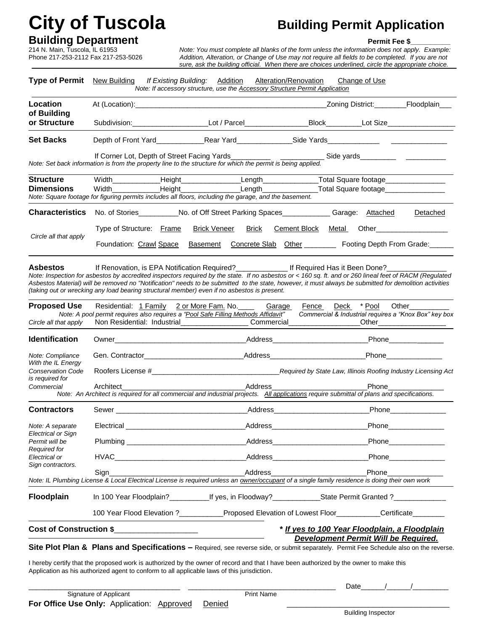# **City of Tuscola Building Permit Application**

**Building Department Permit Fee \$\_\_\_\_\_\_\_\_\_\_** 214 N. Main, Tuscola, IL 61953 *Note: You must complete all blanks of the form unless the information does not apply. Example:*  Phone 217-253-2112 Fax 217-253-5026*Addition, Alteration, or Change of Use may not require all fields to be completed. If you are not*  *sure, ask the building official. When there are choices underlined, circle the appropriate choice.*

| <b>Type of Permit</b>                                                                                                                                                                                                                                                                                                                                                                                                                | New Building                                                                                                                                                                                                                   |  | If Existing Building: Addition<br>Note: If accessory structure, use the <b>Accessory Structure Permit Application</b> |                                | Alteration/Renovation |       | Change of Use         |                                                                                                                                                                                                                                                                                                                                                                                                                             |
|--------------------------------------------------------------------------------------------------------------------------------------------------------------------------------------------------------------------------------------------------------------------------------------------------------------------------------------------------------------------------------------------------------------------------------------|--------------------------------------------------------------------------------------------------------------------------------------------------------------------------------------------------------------------------------|--|-----------------------------------------------------------------------------------------------------------------------|--------------------------------|-----------------------|-------|-----------------------|-----------------------------------------------------------------------------------------------------------------------------------------------------------------------------------------------------------------------------------------------------------------------------------------------------------------------------------------------------------------------------------------------------------------------------|
| Location                                                                                                                                                                                                                                                                                                                                                                                                                             |                                                                                                                                                                                                                                |  |                                                                                                                       |                                |                       |       |                       | _Zoning District:__________Floodplain___                                                                                                                                                                                                                                                                                                                                                                                    |
| of Building<br>or Structure                                                                                                                                                                                                                                                                                                                                                                                                          |                                                                                                                                                                                                                                |  |                                                                                                                       |                                |                       |       |                       | Subdivision:_________________________Lot / Parcel______________________Block__________Lot Size________________                                                                                                                                                                                                                                                                                                              |
| <b>Set Backs</b>                                                                                                                                                                                                                                                                                                                                                                                                                     |                                                                                                                                                                                                                                |  |                                                                                                                       |                                |                       |       |                       |                                                                                                                                                                                                                                                                                                                                                                                                                             |
| Note: Set back information is from the property line to the structure for which the permit is being applied.                                                                                                                                                                                                                                                                                                                         | If Corner Lot, Depth of Street Facing Yards                                                                                                                                                                                    |  |                                                                                                                       |                                |                       |       |                       |                                                                                                                                                                                                                                                                                                                                                                                                                             |
| <b>Structure</b><br><b>Dimensions</b><br>Note: Square footage for figuring permits includes all floors, including the garage, and the basement.                                                                                                                                                                                                                                                                                      | Width_________________Height_______________________Length_______________________Total Square footage_______________                                                                                                            |  |                                                                                                                       |                                |                       |       |                       |                                                                                                                                                                                                                                                                                                                                                                                                                             |
| <b>Characteristics</b>                                                                                                                                                                                                                                                                                                                                                                                                               | No. of Stories___________No. of Off Street Parking Spaces_____________Garage: Attached                                                                                                                                         |  |                                                                                                                       |                                |                       |       |                       | Detached                                                                                                                                                                                                                                                                                                                                                                                                                    |
| Circle all that apply                                                                                                                                                                                                                                                                                                                                                                                                                | Type of Structure: Frame                                                                                                                                                                                                       |  | <b>Brick Veneer</b>                                                                                                   | <b>Brick</b>                   | <b>Cement Block</b>   | Metal |                       | Other____________________<br>Foundation: Crawl Space Basement Concrete Slab Other _______ Footing Depth From Grade:                                                                                                                                                                                                                                                                                                         |
| <b>Asbestos</b><br>Note: Inspection for asbestos by accredited inspectors required by the state. If no asbestos or < 160 sq. ft. and or 260 lineal feet of RACM (Regulated<br>Asbestos Material) will be removed no "Notification" needs to be submitted to the state, however, it must always be submitted for demolition activities<br>(taking out or wrecking any load bearing structural member) even if no asbestos is present. | If Renovation, is EPA Notification Required?<br>If Required Has it Been Done?<br>If Renovation, is EPA Notification Required?                                                                                                  |  |                                                                                                                       |                                |                       |       |                       |                                                                                                                                                                                                                                                                                                                                                                                                                             |
| <b>Proposed Use</b><br>Circle all that apply                                                                                                                                                                                                                                                                                                                                                                                         | Residential: 1 Family 2 or More Fam. No. _____ Garage<br>Note: A pool permit requires also requires a "Pool Safe Filling Methods Affidavit"                                                                                    |  |                                                                                                                       |                                | Fence                 |       | Deck * Pool           | Other<br>Commercial & Industrial requires a "Knox Box" key box                                                                                                                                                                                                                                                                                                                                                              |
| <b>Identification</b>                                                                                                                                                                                                                                                                                                                                                                                                                |                                                                                                                                                                                                                                |  |                                                                                                                       |                                |                       |       |                       | Phone                                                                                                                                                                                                                                                                                                                                                                                                                       |
| Note: Compliance<br>With the IL Energy                                                                                                                                                                                                                                                                                                                                                                                               |                                                                                                                                                                                                                                |  |                                                                                                                       |                                |                       |       |                       |                                                                                                                                                                                                                                                                                                                                                                                                                             |
| <b>Conservation Code</b><br>is required for                                                                                                                                                                                                                                                                                                                                                                                          |                                                                                                                                                                                                                                |  |                                                                                                                       |                                |                       |       |                       |                                                                                                                                                                                                                                                                                                                                                                                                                             |
| Commercial                                                                                                                                                                                                                                                                                                                                                                                                                           | Architect<br>Note: An Architect is required for all commercial and industrial projects. All applications require submittal of plans and specifications.                                                                        |  |                                                                                                                       | Address                        |                       |       | Phone                 |                                                                                                                                                                                                                                                                                                                                                                                                                             |
| <b>Contractors</b>                                                                                                                                                                                                                                                                                                                                                                                                                   |                                                                                                                                                                                                                                |  |                                                                                                                       |                                |                       |       |                       | Phone_______________                                                                                                                                                                                                                                                                                                                                                                                                        |
| Note: A separate                                                                                                                                                                                                                                                                                                                                                                                                                     | Electrical Address Address Address Address Address Address Address Address Address Address Address Address Address Address Address Address Address Address Address Address Address Address Address Address Address Address Add |  |                                                                                                                       |                                |                       |       |                       | <b>Phone Contract Contract Contract Contract Contract Contract Contract Contract Contract Contract Contract Contract Contract Contract Contract Contract Contract Contract Contract Contract Contract Contract Contract Contra</b>                                                                                                                                                                                          |
| Electrical or Sign<br>Permit will be                                                                                                                                                                                                                                                                                                                                                                                                 |                                                                                                                                                                                                                                |  |                                                                                                                       |                                |                       |       |                       |                                                                                                                                                                                                                                                                                                                                                                                                                             |
| Required for<br>Electrical or                                                                                                                                                                                                                                                                                                                                                                                                        |                                                                                                                                                                                                                                |  |                                                                                                                       | _Address______________________ |                       |       | Phone <b>Property</b> |                                                                                                                                                                                                                                                                                                                                                                                                                             |
| Sign contractors.<br>Note: IL Plumbing License & Local Electrical License is required unless an owner/occupant of a single family residence is doing their own work                                                                                                                                                                                                                                                                  | Sign                                                                                                                                                                                                                           |  | __________________________________Address________________                                                             |                                |                       |       |                       |                                                                                                                                                                                                                                                                                                                                                                                                                             |
| <b>Floodplain</b>                                                                                                                                                                                                                                                                                                                                                                                                                    | In 100 Year Floodplain? ______________If yes, in Floodway? _______________State Permit Granted ? _____________                                                                                                                 |  |                                                                                                                       |                                |                       |       |                       |                                                                                                                                                                                                                                                                                                                                                                                                                             |
|                                                                                                                                                                                                                                                                                                                                                                                                                                      | 100 Year Flood Elevation ?____________Proposed Elevation of Lowest Floor__________Certificate_______                                                                                                                           |  |                                                                                                                       |                                |                       |       |                       |                                                                                                                                                                                                                                                                                                                                                                                                                             |
| Cost of Construction \$<br>* If yes to 100 Year Floodplain, a Floodplain<br>Development Permit Will be Required.                                                                                                                                                                                                                                                                                                                     |                                                                                                                                                                                                                                |  |                                                                                                                       |                                |                       |       |                       |                                                                                                                                                                                                                                                                                                                                                                                                                             |
| Site Plot Plan & Plans and Specifications - Required, see reverse side, or submit separately. Permit Fee Schedule also on the reverse.                                                                                                                                                                                                                                                                                               |                                                                                                                                                                                                                                |  |                                                                                                                       |                                |                       |       |                       |                                                                                                                                                                                                                                                                                                                                                                                                                             |
| I hereby certify that the proposed work is authorized by the owner of record and that I have been authorized by the owner to make this<br>Application as his authorized agent to conform to all applicable laws of this jurisdiction.                                                                                                                                                                                                |                                                                                                                                                                                                                                |  |                                                                                                                       |                                |                       |       |                       |                                                                                                                                                                                                                                                                                                                                                                                                                             |
|                                                                                                                                                                                                                                                                                                                                                                                                                                      |                                                                                                                                                                                                                                |  |                                                                                                                       | <b>Print Name</b>              |                       |       |                       | Date $\frac{1}{\sqrt{1-\frac{1}{2}}}\frac{1}{\sqrt{1-\frac{1}{2}}}\frac{1}{\sqrt{1-\frac{1}{2}}}\frac{1}{\sqrt{1-\frac{1}{2}}}\frac{1}{\sqrt{1-\frac{1}{2}}}\frac{1}{\sqrt{1-\frac{1}{2}}}\frac{1}{\sqrt{1-\frac{1}{2}}}\frac{1}{\sqrt{1-\frac{1}{2}}}\frac{1}{\sqrt{1-\frac{1}{2}}}\frac{1}{\sqrt{1-\frac{1}{2}}}\frac{1}{\sqrt{1-\frac{1}{2}}}\frac{1}{\sqrt{1-\frac{1}{2}}}\frac{1}{\sqrt{1-\frac{1}{2}}}\frac{1}{\sqrt$ |
|                                                                                                                                                                                                                                                                                                                                                                                                                                      | Signature of Applicant                                                                                                                                                                                                         |  |                                                                                                                       |                                |                       |       |                       |                                                                                                                                                                                                                                                                                                                                                                                                                             |